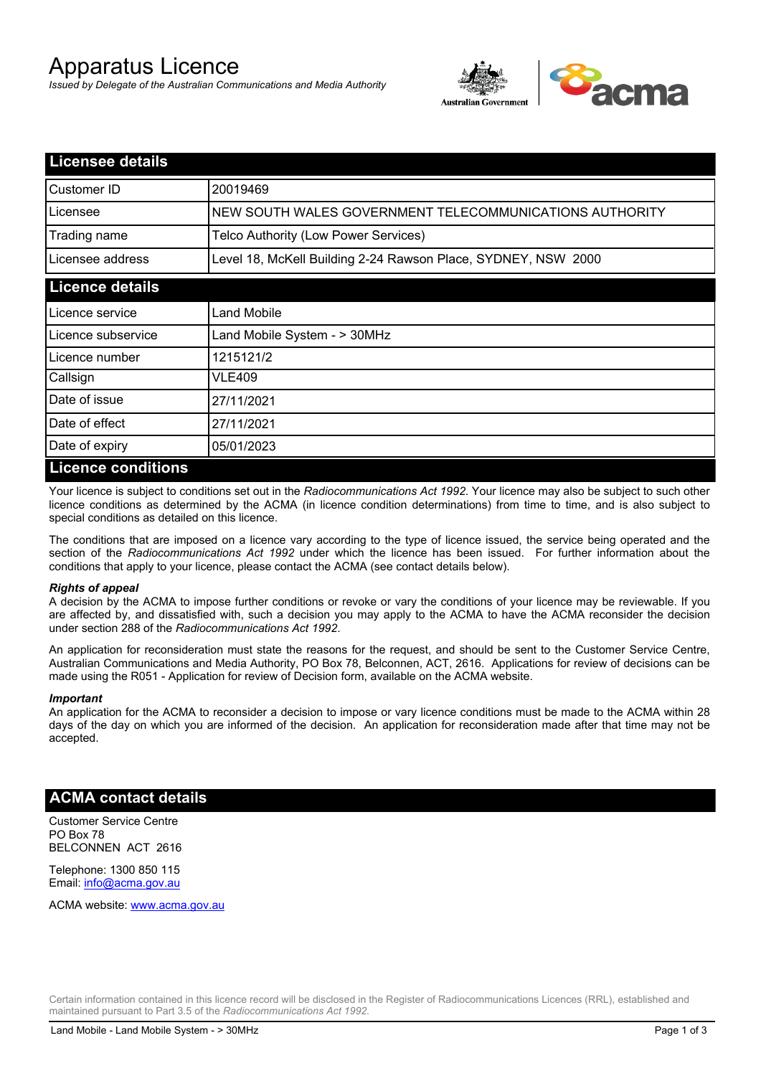# Apparatus Licence

*Issued by Delegate of the Australian Communications and Media Authority*



| <b>Licensee details</b> |                                                               |
|-------------------------|---------------------------------------------------------------|
| Customer ID             | 20019469                                                      |
| Licensee                | NEW SOUTH WALES GOVERNMENT TELECOMMUNICATIONS AUTHORITY       |
| Trading name            | Telco Authority (Low Power Services)                          |
| Licensee address        | Level 18, McKell Building 2-24 Rawson Place, SYDNEY, NSW 2000 |
| <b>Licence details</b>  |                                                               |
| Licence service         | Land Mobile                                                   |
| Licence subservice      | Land Mobile System - > 30MHz                                  |
| Licence number          | 1215121/2                                                     |
| Callsign                | VLE409                                                        |
| Date of issue           | 27/11/2021                                                    |
| Date of effect          | 27/11/2021                                                    |
| Date of expiry          | 05/01/2023                                                    |
| Licence conditions      |                                                               |

# **Licence conditions**

Your licence is subject to conditions set out in the *Radiocommunications Act 1992*. Your licence may also be subject to such other licence conditions as determined by the ACMA (in licence condition determinations) from time to time, and is also subject to special conditions as detailed on this licence.

The conditions that are imposed on a licence vary according to the type of licence issued, the service being operated and the section of the *Radiocommunications Act 1992* under which the licence has been issued. For further information about the conditions that apply to your licence, please contact the ACMA (see contact details below).

#### *Rights of appeal*

A decision by the ACMA to impose further conditions or revoke or vary the conditions of your licence may be reviewable. If you are affected by, and dissatisfied with, such a decision you may apply to the ACMA to have the ACMA reconsider the decision under section 288 of the *Radiocommunications Act 1992*.

An application for reconsideration must state the reasons for the request, and should be sent to the Customer Service Centre, Australian Communications and Media Authority, PO Box 78, Belconnen, ACT, 2616. Applications for review of decisions can be made using the R051 - Application for review of Decision form, available on the ACMA website.

#### *Important*

An application for the ACMA to reconsider a decision to impose or vary licence conditions must be made to the ACMA within 28 days of the day on which you are informed of the decision. An application for reconsideration made after that time may not be accepted.

#### **ACMA contact details**

Customer Service Centre PO Box 78 BELCONNEN ACT 2616

Telephone: 1300 850 115 Email: info@acma.gov.au

ACMA website: www.acma.gov.au

Certain information contained in this licence record will be disclosed in the Register of Radiocommunications Licences (RRL), established and maintained pursuant to Part 3.5 of the *Radiocommunications Act 1992.*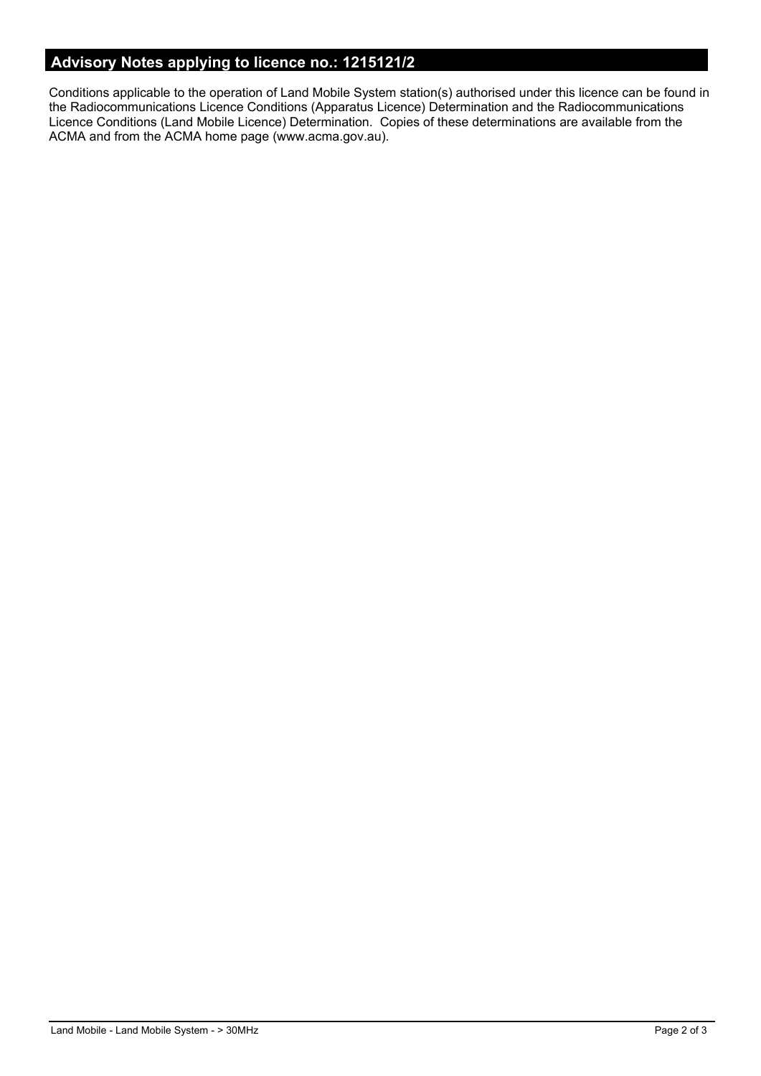# **Advisory Notes applying to licence no.: 1215121/2**

Conditions applicable to the operation of Land Mobile System station(s) authorised under this licence can be found in the Radiocommunications Licence Conditions (Apparatus Licence) Determination and the Radiocommunications Licence Conditions (Land Mobile Licence) Determination. Copies of these determinations are available from the ACMA and from the ACMA home page (www.acma.gov.au).